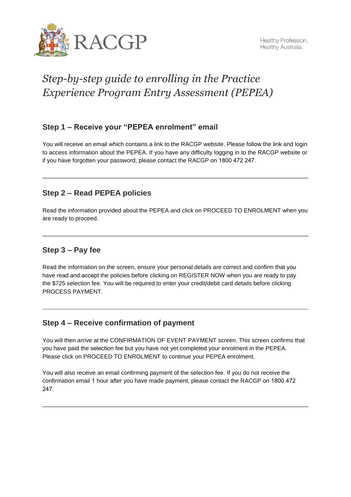

# *Step-by-step guide to enrolling in the Practice Experience Program Entry Assessment (PEPEA)*

## **Step 1 – Receive your "PEPEA enrolment" email**

You will receive an email which contains a link to the RACGP website. Please follow the link and login to access information about the PEPEA. If you have any difficulty logging in to the RACGP website or if you have forgotten your password, please contact the RACGP on 1800 472 247.

# **Step 2 – Read PEPEA policies**

Read the information provided about the PEPEA and click on PROCEED TO ENROLMENT when you are ready to proceed.

# **Step 3 – Pay fee**

Read the information on the screen, ensure your personal details are correct and confirm that you have read and accept the policies before clicking on REGISTER NOW when you are ready to pay the \$725 selection fee. You will be required to enter your credit/debit card details before clicking PROCESS PAYMENT.

#### **Step 4 – Receive confirmation of payment**

You will then arrive at the CONFIRMATION OF EVENT PAYMENT screen. This screen confirms that you have paid the selection fee but you have not yet completed your enrolment in the PEPEA. Please click on PROCEED TO ENROLMENT to continue your PEPEA enrolment.

You will also receive an email confirming payment of the selection fee. If you do not receive the confirmation email 1 hour after you have made payment, please contact the RACGP on 1800 472 247.